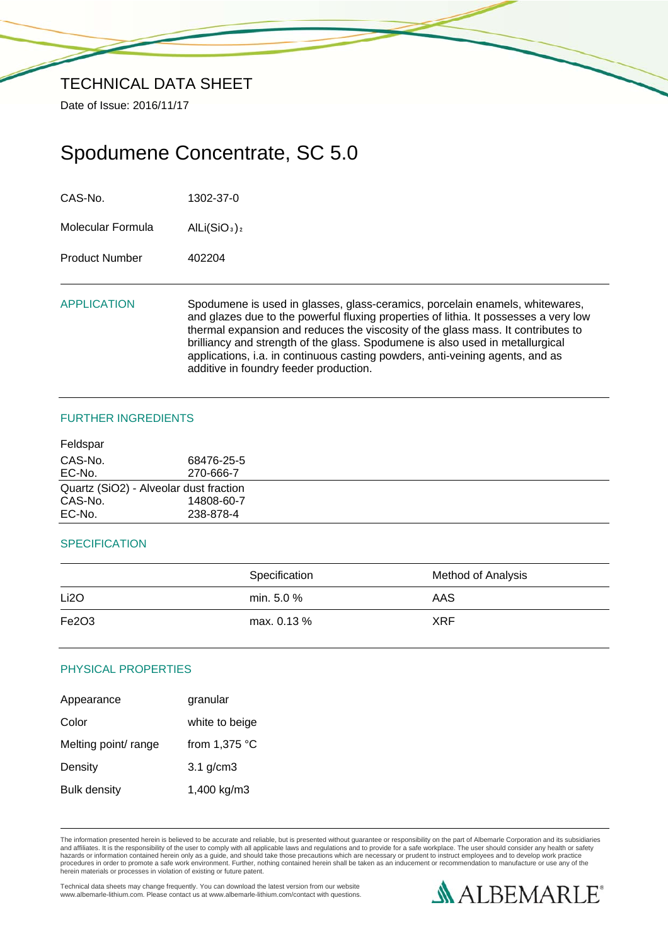Date of Issue: 2016/11/17

# Spodumene Concentrate, SC 5.0

CAS-No. 1302-37-0

Molecular Formula AlLi(SiO<sub>3</sub>)<sub>2</sub>

Product Number 402204

APPLICATION Spodumene is used in glasses, glass-ceramics, porcelain enamels, whitewares, and glazes due to the powerful fluxing properties of lithia. It possesses a very low thermal expansion and reduces the viscosity of the glass mass. It contributes to brilliancy and strength of the glass. Spodumene is also used in metallurgical applications, i.a. in continuous casting powders, anti-veining agents, and as additive in foundry feeder production.

## FURTHER INGREDIENTS

| Feldspar |                                        |  |
|----------|----------------------------------------|--|
| CAS-No.  | 68476-25-5                             |  |
| EC-No.   | 270-666-7                              |  |
|          | Quartz (SiO2) - Alveolar dust fraction |  |
| CAS-No.  | 14808-60-7                             |  |
| EC-No.   | 238-878-4                              |  |
|          |                                        |  |

## **SPECIFICATION**

|                   | Specification | Method of Analysis |
|-------------------|---------------|--------------------|
| Li <sub>2</sub> O | min. $5.0 \%$ | AAS                |
| Fe2O3             | max. 0.13 %   | <b>XRF</b>         |

## PHYSICAL PROPERTIES

| Appearance           | granular        |
|----------------------|-----------------|
| Color                | white to beige  |
| Melting point/ range | from $1,375$ °C |
| Density              | $3.1$ g/cm $3$  |
| <b>Bulk density</b>  | 1,400 kg/m3     |

The information presented herein is believed to be accurate and reliable, but is presented without guarantee or responsibility on the part of Albemarle Corporation and its subsidiaries<br>and affiliates. It is the responsibil hazards or information contained herein only as a guide, and should take those precautions which are necessary or prudent to instruct employees and to develop work practice<br>procedures in order to promote a safe work enviro

Technical data sheets may change frequently. You can download the latest version from our website www.albemarle-lithium.com. Please contact us at www.albemarle-lithium.com/contact with questions.